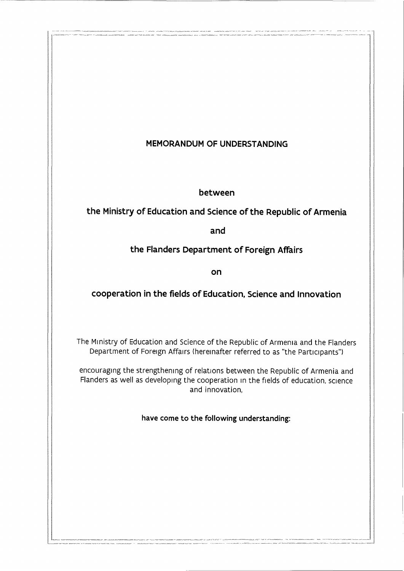## **MEMORANDUM OF UNDERSTANDING**

**between** 

**the Ministry of Education and Science of the Republic of Armenia** 

**and** 

**the Flanders Department of Foreign Affairs** 

**on** 

# **cooperation in the fields of Education, Science and Innovation**

The Ministry of Education and Science of the Republic of Armenia and the Flanders Department of Foreign Affairs (hereinafter referred to as "the Participants")

encouraging the strengthening of relations between the Republic of Armenia and Flanders as well as developing the cooperation 1n the fields of education, science and innovation,

**have come to the following understanding:** 

 $\frac{1}{2} \frac{1}{2} \frac{1}{2} \frac{1}{2} \frac{1}{2} \frac{1}{2} \frac{1}{2} \frac{1}{2} \frac{1}{2} \frac{1}{2} \frac{1}{2} \frac{1}{2} \frac{1}{2} \frac{1}{2} \frac{1}{2} \frac{1}{2} \frac{1}{2} \frac{1}{2} \frac{1}{2} \frac{1}{2} \frac{1}{2} \frac{1}{2} \frac{1}{2} \frac{1}{2} \frac{1}{2} \frac{1}{2} \frac{1}{2} \frac{1}{2} \frac{1}{2} \frac{1}{2} \frac{1}{2} \frac{$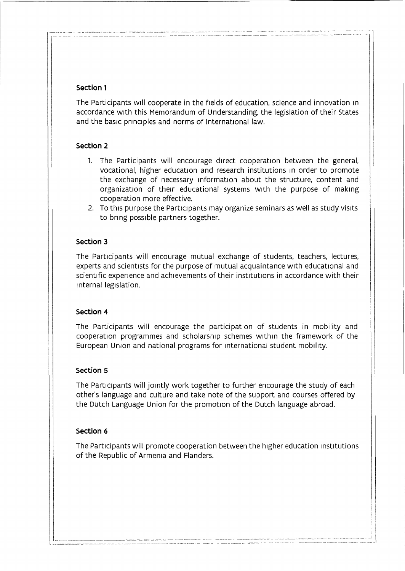## **Section 1**

The Participants will cooperate in the fields of education, science and innovation 1n accordance with this Memorandum of Understanding, the legislation of their States and the basic principles and norms of International law.

### **Section 2**

- 1. The Participants will encourage direct cooperation between the general, vocational, higher education and research institutions in order to promote the exchange of necessary information about the structure, content and organization of their educational systems with the purpose of making cooperation more effective.
- 2. To this purpose the Participants may organize seminars as well as study visits to bring possible partners together.

### **Section 3**

The Participants will encourage mutual exchange of students, teachers, lectures, experts and scientists for the purpose of mutual acquaintance with educational and scientific experience and achievements of their institutions in accordance with their internal legislation.

#### **Section 4**

The Participants will encourage the participation of students in mobility and cooperation programmes and scholarship schemes within the framework of the European Union and national programs for international student mobility.

#### **Section 5**

The Participants will jointly work together to further encourage the study of each other's language and culture and take note of the support and courses offered by the Dutch Language Union for the promotion of the Dutch language abroad.

#### **Section 6**

The Participants will promote cooperation between the higher education institutions of the Republic of Armenia and Flanders.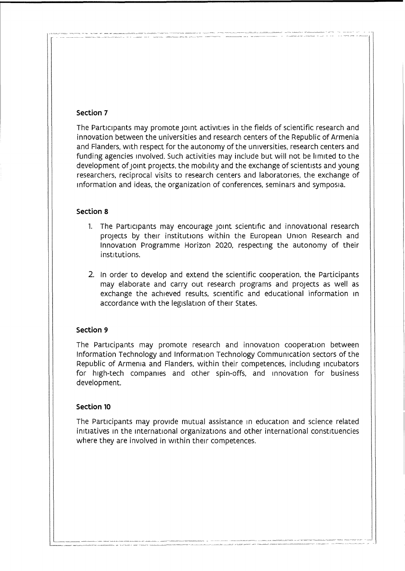## **Section 7**

The Participants may promote joint activities in the fields of scientific research and innovation between the universities and research centers of the Republic of Armenia and Flanders, with respect for the autonomy of the universities, research centers and funding agencies involved. Such activities may include but will not be limited to the development of joint projects, the mobility and the exchange of scientists and young researchers, reciprocal visits to research centers and laboratories, the exchange of information and ideas, the organization of conferences, seminars and symposia.

#### **Section 8**

- 1. The Participants may encourage joint scientific and innovational research projects by their institutions within the European Union Research and Innovation Programme Horizon 2020, respecting the autonomy of their institutions.
- 2. In order to develop and extend the scientific cooperation, the Participants may elaborate and carry out research programs and projects as well as exchange the achieved results, scientific and educational information in accordance with the legislation of their States.

## **Section 9**

The Participants may promote research and innovation cooperation between Information Technology and Information Technology Communication sectors of the Republic of Armenia and Flanders, within their competences, including incubators for high-tech companies and other spin-offs, and innovation for business development.

#### **Section 10**

The Participants may provide mutual assistance in education and science related initiatives in the international organizations and other international constituencies where they are involved in within their competences.